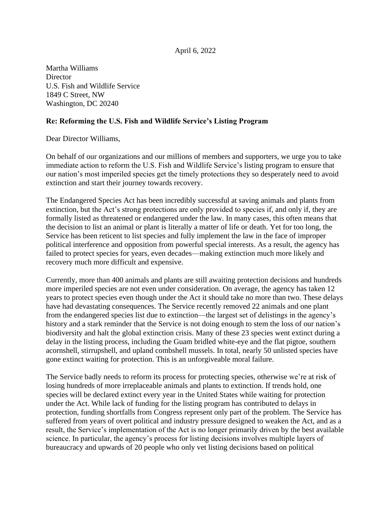## April 6, 2022

Martha Williams **Director** U.S. Fish and Wildlife Service 1849 C Street, NW Washington, DC 20240

## **Re: Reforming the U.S. Fish and Wildlife Service's Listing Program**

Dear Director Williams,

On behalf of our organizations and our millions of members and supporters, we urge you to take immediate action to reform the U.S. Fish and Wildlife Service's listing program to ensure that our nation's most imperiled species get the timely protections they so desperately need to avoid extinction and start their journey towards recovery.

The Endangered Species Act has been incredibly successful at saving animals and plants from extinction, but the Act's strong protections are only provided to species if, and only if, they are formally listed as threatened or endangered under the law. In many cases, this often means that the decision to list an animal or plant is literally a matter of life or death. Yet for too long, the Service has been reticent to list species and fully implement the law in the face of improper political interference and opposition from powerful special interests. As a result, the agency has failed to protect species for years, even decades—making extinction much more likely and recovery much more difficult and expensive.

Currently, more than 400 animals and plants are still awaiting protection decisions and hundreds more imperiled species are not even under consideration. On average, the agency has taken 12 years to protect species even though under the Act it should take no more than two. These delays have had devastating consequences. The Service recently removed 22 animals and one plant from the endangered species list due to extinction—the largest set of delistings in the agency's history and a stark reminder that the Service is not doing enough to stem the loss of our nation's biodiversity and halt the global extinction crisis. Many of these 23 species went extinct during a delay in the listing process, including the Guam bridled white-eye and the flat pigtoe, southern acornshell, stirrupshell, and upland combshell mussels. In total, nearly 50 unlisted species have gone extinct waiting for protection. This is an unforgiveable moral failure.

The Service badly needs to reform its process for protecting species, otherwise we're at risk of losing hundreds of more irreplaceable animals and plants to extinction. If trends hold, one species will be declared extinct every year in the United States while waiting for protection under the Act. While lack of funding for the listing program has contributed to delays in protection, funding shortfalls from Congress represent only part of the problem. The Service has suffered from years of overt political and industry pressure designed to weaken the Act, and as a result, the Service's implementation of the Act is no longer primarily driven by the best available science. In particular, the agency's process for listing decisions involves multiple layers of bureaucracy and upwards of 20 people who only vet listing decisions based on political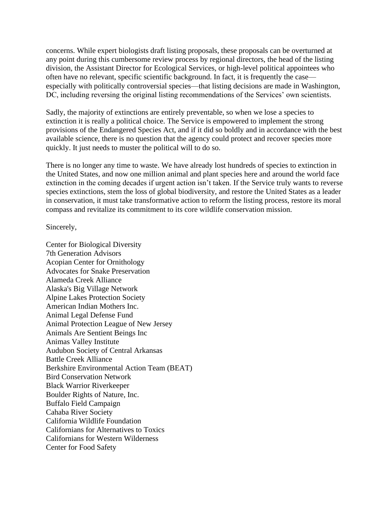concerns. While expert biologists draft listing proposals, these proposals can be overturned at any point during this cumbersome review process by regional directors, the head of the listing division, the Assistant Director for Ecological Services, or high-level political appointees who often have no relevant, specific scientific background. In fact, it is frequently the case especially with politically controversial species—that listing decisions are made in Washington, DC, including reversing the original listing recommendations of the Services' own scientists.

Sadly, the majority of extinctions are entirely preventable, so when we lose a species to extinction it is really a political choice. The Service is empowered to implement the strong provisions of the Endangered Species Act, and if it did so boldly and in accordance with the best available science, there is no question that the agency could protect and recover species more quickly. It just needs to muster the political will to do so.

There is no longer any time to waste. We have already lost hundreds of species to extinction in the United States, and now one million animal and plant species here and around the world face extinction in the coming decades if urgent action isn't taken. If the Service truly wants to reverse species extinctions, stem the loss of global biodiversity, and restore the United States as a leader in conservation, it must take transformative action to reform the listing process, restore its moral compass and revitalize its commitment to its core wildlife conservation mission.

Sincerely,

Center for Biological Diversity 7th Generation Advisors Acopian Center for Ornithology Advocates for Snake Preservation Alameda Creek Alliance Alaska's Big Village Network Alpine Lakes Protection Society American Indian Mothers Inc. Animal Legal Defense Fund Animal Protection League of New Jersey Animals Are Sentient Beings Inc Animas Valley Institute Audubon Society of Central Arkansas Battle Creek Alliance Berkshire Environmental Action Team (BEAT) Bird Conservation Network Black Warrior Riverkeeper Boulder Rights of Nature, Inc. Buffalo Field Campaign Cahaba River Society California Wildlife Foundation Californians for Alternatives to Toxics Californians for Western Wilderness Center for Food Safety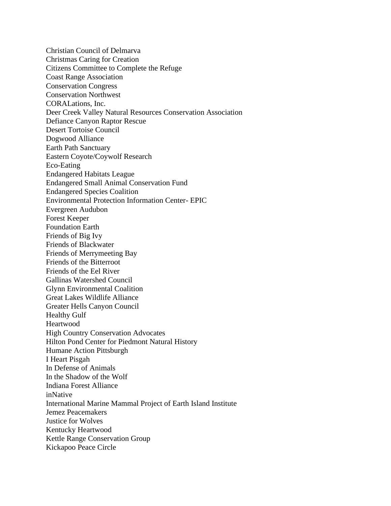Christian Council of Delmarva Christmas Caring for Creation Citizens Committee to Complete the Refuge Coast Range Association Conservation Congress Conservation Northwest CORALations, Inc. Deer Creek Valley Natural Resources Conservation Association Defiance Canyon Raptor Rescue Desert Tortoise Council Dogwood Alliance Earth Path Sanctuary Eastern Coyote/Coywolf Research Eco-Eating Endangered Habitats League Endangered Small Animal Conservation Fund Endangered Species Coalition Environmental Protection Information Center- EPIC Evergreen Audubon Forest Keeper Foundation Earth Friends of Big Ivy Friends of Blackwater Friends of Merrymeeting Bay Friends of the Bitterroot Friends of the Eel River Gallinas Watershed Council Glynn Environmental Coalition Great Lakes Wildlife Alliance Greater Hells Canyon Council Healthy Gulf Heartwood High Country Conservation Advocates Hilton Pond Center for Piedmont Natural History Humane Action Pittsburgh I Heart Pisgah In Defense of Animals In the Shadow of the Wolf Indiana Forest Alliance inNative International Marine Mammal Project of Earth Island Institute Jemez Peacemakers Justice for Wolves Kentucky Heartwood Kettle Range Conservation Group Kickapoo Peace Circle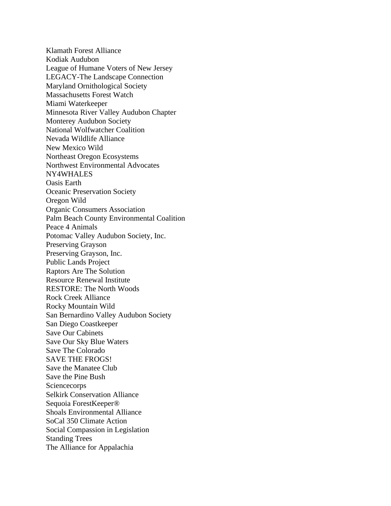Klamath Forest Alliance Kodiak Audubon League of Humane Voters of New Jersey LEGACY-The Landscape Connection Maryland Ornithological Society Massachusetts Forest Watch Miami Waterkeeper Minnesota River Valley Audubon Chapter Monterey Audubon Society National Wolfwatcher Coalition Nevada Wildlife Alliance New Mexico Wild Northeast Oregon Ecosystems Northwest Environmental Advocates NY4WHALES Oasis Earth Oceanic Preservation Society Oregon Wild Organic Consumers Association Palm Beach County Environmental Coalition Peace 4 Animals Potomac Valley Audubon Society, Inc. Preserving Grayson Preserving Grayson, Inc. Public Lands Project Raptors Are The Solution Resource Renewal Institute RESTORE: The North Woods Rock Creek Alliance Rocky Mountain Wild San Bernardino Valley Audubon Society San Diego Coastkeeper Save Our Cabinets Save Our Sky Blue Waters Save The Colorado SAVE THE FROGS! Save the Manatee Club Save the Pine Bush **Sciencecorps** Selkirk Conservation Alliance Sequoia ForestKeeper® Shoals Environmental Alliance SoCal 350 Climate Action Social Compassion in Legislation Standing Trees The Alliance for Appalachia